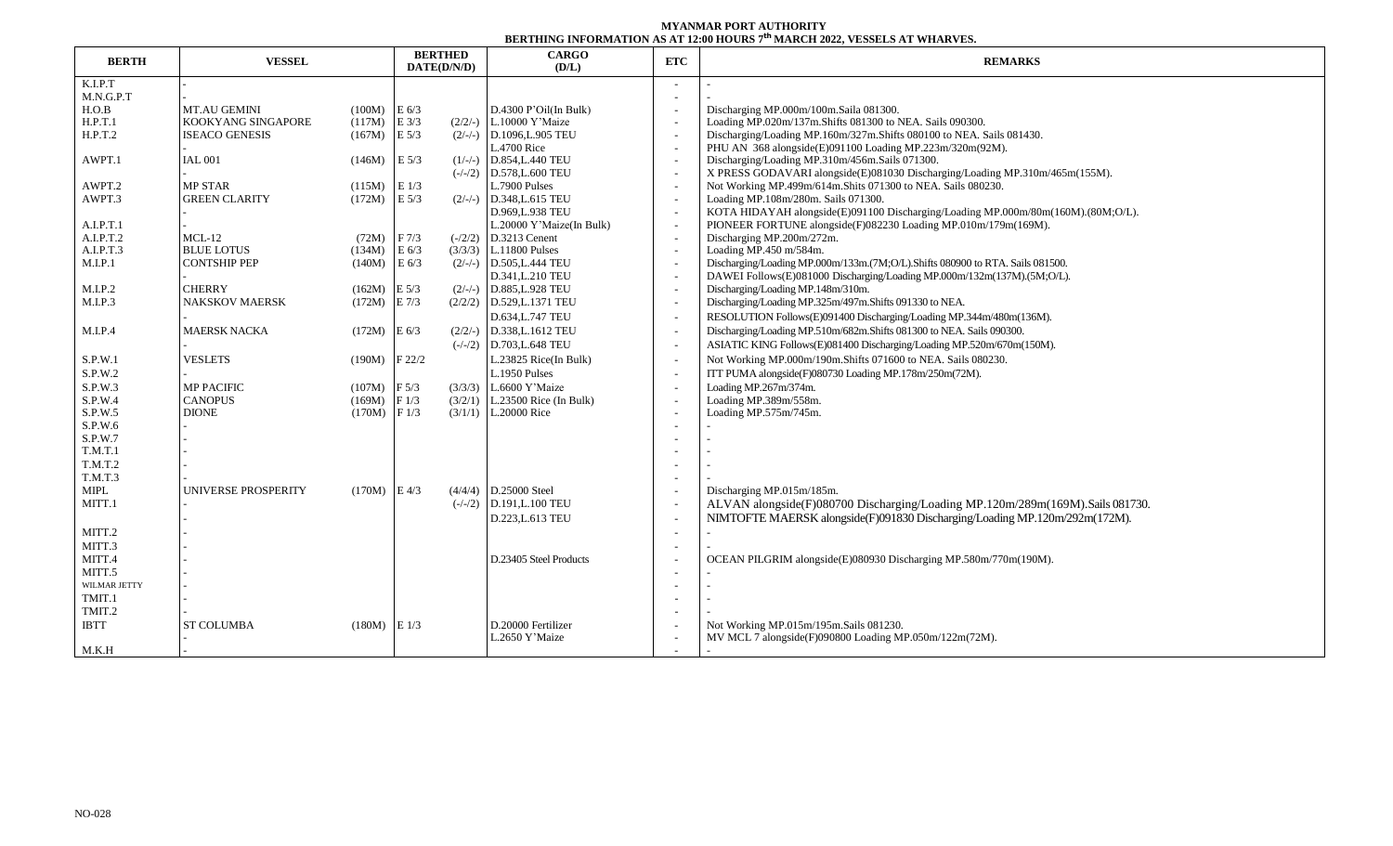## **MYANMAR PORT AUTHORITY BERTHING INFORMATION AS AT 12:00 HOURS 7 th MARCH 2022, VESSELS AT WHARVES.**

| <b>BERTH</b> | <b>VESSEL</b>         |                | <b>BERTHED</b><br>DATE(D/N/D) | <b>CARGO</b><br>(D/L)       | ETC                      | <u>BERTHING IN CRIMITION OF BUILTING IN CHIEF I</u><br><b>REMARKS</b>            |  |  |  |  |
|--------------|-----------------------|----------------|-------------------------------|-----------------------------|--------------------------|----------------------------------------------------------------------------------|--|--|--|--|
| K.I.P.T      |                       |                |                               |                             |                          |                                                                                  |  |  |  |  |
| M.N.G.P.T    |                       |                |                               |                             |                          |                                                                                  |  |  |  |  |
| H.O.B        | <b>MT.AU GEMINI</b>   | (100M)         | E 6/3                         | $D.4300$ P'Oil(In Bulk)     |                          | Discharging MP.000m/100m.Saila 081300.                                           |  |  |  |  |
| H.P.T.1      | KOOKYANG SINGAPORE    | (117M)         | $E$ 3/3                       | $(2/2/-)$ L.10000 Y'Maize   |                          | Loading MP.020m/137m.Shifts 081300 to NEA. Sails 090300.                         |  |  |  |  |
| H.P.T.2      | <b>ISEACO GENESIS</b> | (167M)         | E 5/3                         | $(2/-/-)$ D.1096, L.905 TEU |                          | Discharging/Loading MP.160m/327m.Shifts 080100 to NEA. Sails 081430.             |  |  |  |  |
|              |                       |                |                               | L.4700 Rice                 |                          | PHU AN 368 alongside(E)091100 Loading MP.223m/320m(92M).                         |  |  |  |  |
| AWPT.1       | <b>IAL 001</b>        | (146M)         | E 5/3                         | $(1/-/-)$ D.854, L.440 TEU  |                          | Discharging/Loading MP.310m/456m.Sails 071300.                                   |  |  |  |  |
|              |                       |                |                               | $(-/-/2)$ D.578, L.600 TEU  |                          | X PRESS GODAVARI alongside(E)081030 Discharging/Loading MP.310m/465m(155M).      |  |  |  |  |
| AWPT.2       | <b>MP STAR</b>        | (115M)         | E1/3                          | L.7900 Pulses               |                          | Not Working MP.499m/614m.Shits 071300 to NEA. Sails 080230.                      |  |  |  |  |
| AWPT.3       | <b>GREEN CLARITY</b>  | (172M)         | E 5/3                         | $(2/-/-)$ D.348, L.615 TEU  |                          | Loading MP.108m/280m. Sails 071300.                                              |  |  |  |  |
|              |                       |                |                               | D.969, L.938 TEU            |                          | KOTA HIDAYAH alongside(E)091100 Discharging/Loading MP.000m/80m(160M).(80M;O/L). |  |  |  |  |
| A.I.P.T.1    |                       |                |                               | L.20000 Y'Maize(In Bulk)    |                          | PIONEER FORTUNE alongside(F)082230 Loading MP.010m/179m(169M).                   |  |  |  |  |
| A.I.P.T.2    | $MCL-12$              | (72M)          | F <sub>7/3</sub>              | $(-/2/2)$ D.3213 Cenent     |                          | Discharging MP.200m/272m.                                                        |  |  |  |  |
| A.I.P.T.3    | <b>BLUE LOTUS</b>     | (134M)         | $E\ 6/3$                      | $(3/3/3)$ L.11800 Pulses    |                          | Loading MP.450 m/584m.                                                           |  |  |  |  |
| M.I.P.1      | <b>CONTSHIP PEP</b>   | (140M)         | E 6/3                         | $(2/-/-)$ D.505, L.444 TEU  |                          | Discharging/Loading MP.000m/133m.(7M;O/L).Shifts 080900 to RTA. Sails 081500.    |  |  |  |  |
|              |                       |                |                               | D.341, L.210 TEU            | $\overline{\phantom{a}}$ | DAWEI Follows(E)081000 Discharging/Loading MP.000m/132m(137M).(5M;O/L).          |  |  |  |  |
| M.I.P.2      | <b>CHERRY</b>         | (162M)         | $E\ 5/3$<br>$(2/-/-)$         | D.885, L.928 TEU            |                          | Discharging/Loading MP.148m/310m.                                                |  |  |  |  |
| M.I.P.3      | <b>NAKSKOV MAERSK</b> | (172M)         | $E\ 7/3$                      | $(2/2/2)$ D.529, L.1371 TEU |                          | Discharging/Loading MP.325m/497m.Shifts 091330 to NEA.                           |  |  |  |  |
|              |                       |                |                               | D.634, L.747 TEU            |                          | RESOLUTION Follows(E)091400 Discharging/Loading MP.344m/480m(136M).              |  |  |  |  |
| M.I.P.4      | <b>MAERSK NACKA</b>   | (172M)         | $E\left(\frac{6}{3}\right)$   | $(2/2/-)$ D.338, L.1612 TEU |                          | Discharging/Loading MP.510m/682m.Shifts 081300 to NEA. Sails 090300.             |  |  |  |  |
|              |                       |                |                               | $(-/-/2)$ D.703, L.648 TEU  |                          | ASIATIC KING Follows(E)081400 Discharging/Loading MP.520m/670m(150M).            |  |  |  |  |
| S.P.W.1      | <b>VESLETS</b>        | (190M)         | F22/2                         | L.23825 Rice(In Bulk)       |                          | Not Working MP.000m/190m.Shifts 071600 to NEA. Sails 080230.                     |  |  |  |  |
| S.P.W.2      |                       |                |                               | L.1950 Pulses               |                          | ITT PUMA alongside(F)080730 Loading MP.178m/250m(72M).                           |  |  |  |  |
| S.P.W.3      | <b>MP PACIFIC</b>     | (107M)         | F <sub>5/3</sub><br>(3/3/3)   | L.6600 Y'Maize              |                          | Loading MP.267m/374m.                                                            |  |  |  |  |
| S.P.W.4      | <b>CANOPUS</b>        | (169M)         | F1/3<br>(3/2/1)               | L.23500 Rice (In Bulk)      |                          | Loading MP.389m/558m.                                                            |  |  |  |  |
| S.P.W.5      | <b>DIONE</b>          | (170M)         | F1/3                          | $(3/1/1)$ L.20000 Rice      |                          | Loading MP.575m/745m.                                                            |  |  |  |  |
| S.P.W.6      |                       |                |                               |                             |                          |                                                                                  |  |  |  |  |
| S.P.W.7      |                       |                |                               |                             |                          |                                                                                  |  |  |  |  |
| T.M.T.1      |                       |                |                               |                             |                          |                                                                                  |  |  |  |  |
| T.M.T.2      |                       |                |                               |                             |                          |                                                                                  |  |  |  |  |
| T.M.T.3      |                       |                |                               |                             |                          |                                                                                  |  |  |  |  |
| MIPL         | UNIVERSE PROSPERITY   | $(170M)$ E 4/3 |                               | $(4/4/4)$ D.25000 Steel     |                          | Discharging MP.015m/185m.                                                        |  |  |  |  |
| MITT.1       |                       |                |                               | $(-/-/2)$ D.191, L.100 TEU  |                          | ALVAN alongside(F)080700 Discharging/Loading MP.120m/289m(169M).Sails 081730.    |  |  |  |  |
|              |                       |                |                               | D.223, L.613 TEU            |                          | NIMTOFTE MAERSK alongside(F)091830 Discharging/Loading MP.120m/292m(172M).       |  |  |  |  |
| MITT.2       |                       |                |                               |                             | $\overline{\phantom{a}}$ | ÷.                                                                               |  |  |  |  |
| MITT.3       |                       |                |                               |                             |                          |                                                                                  |  |  |  |  |
| MITT.4       |                       |                |                               | D.23405 Steel Products      |                          | OCEAN PILGRIM alongside(E)080930 Discharging MP.580m/770m(190M).                 |  |  |  |  |
| MITT.5       |                       |                |                               |                             | $\overline{\phantom{a}}$ |                                                                                  |  |  |  |  |
| WILMAR JETTY |                       |                |                               |                             |                          |                                                                                  |  |  |  |  |
| TMIT.1       |                       |                |                               |                             |                          |                                                                                  |  |  |  |  |
| TMIT.2       |                       |                |                               |                             |                          |                                                                                  |  |  |  |  |
| <b>IBTT</b>  | <b>ST COLUMBA</b>     | (180M)         | E1/3                          | D.20000 Fertilizer          |                          | Not Working MP.015m/195m.Sails 081230.                                           |  |  |  |  |
|              |                       |                |                               | L.2650 Y'Maize              |                          | MV MCL 7 alongside(F)090800 Loading MP.050m/122m(72M).                           |  |  |  |  |
| M.K.H        |                       |                |                               |                             |                          |                                                                                  |  |  |  |  |
|              |                       |                |                               |                             |                          |                                                                                  |  |  |  |  |